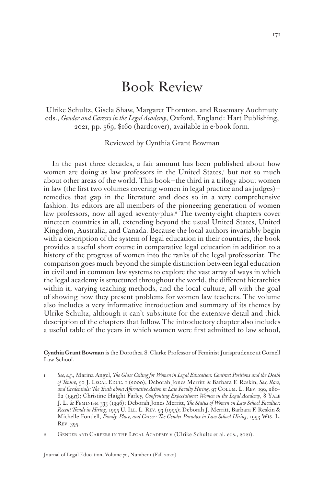## Book Review

Ulrike Schultz, Gisela Shaw, Margaret Thornton, and Rosemary Auchmuty eds., *Gender and Careers in the Legal Academy*, Oxford, England: Hart Publishing, 2021, pp. 569, \$160 (hardcover), available in e-book form.

Reviewed by Cynthia Grant Bowman

In the past three decades, a fair amount has been published about how women are doing as law professors in the United States,<sup>1</sup> but not so much about other areas of the world. This book—the third in a trilogy about women in law (the first two volumes covering women in legal practice and as judges) remedies that gap in the literature and does so in a very comprehensive fashion. Its editors are all members of the pioneering generation of women law professors, now all aged seventy-plus.2 The twenty-eight chapters cover nineteen countries in all, extending beyond the usual United States, United Kingdom, Australia, and Canada. Because the local authors invariably begin with a description of the system of legal education in their countries, the book provides a useful short course in comparative legal education in addition to a history of the progress of women into the ranks of the legal professoriat. The comparison goes much beyond the simple distinction between legal education in civil and in common law systems to explore the vast array of ways in which the legal academy is structured throughout the world, the different hierarchies within it, varying teaching methods, and the local culture, all with the goal of showing how they present problems for women law teachers. The volume also includes a very informative introduction and summary of its themes by Ulrike Schultz, although it can't substitute for the extensive detail and thick description of the chapters that follow. The introductory chapter also includes a useful table of the years in which women were first admitted to law school,

**Cynthia Grant Bowman** is the Dorothea S. Clarke Professor of Feminist Jurisprudence at Cornell Law School.

1 *See, e.g.*, Marina Angel, *The Glass Ceiling for Women in Legal Education: Contract Positions and the Death of Tenure*, 50 J. Legal Educ. 1 (2000); Deborah Jones Merritt & Barbara F. Reskin, *Sex, Race, and Credentials: The Truth about Affirmative Action in Law Faculty Hiring*, 97 Colum. L. Rev. 199, 280– 82 (1997); Christine Haight Farley, *Confronting Expectations: Women in the Legal Academy*, 8 Yale J. L. & Feminism 333 (1996); Deborah Jones Merritt, *The Status of Women on Law School Faculties: Recent Trends in Hiring*, 1995 U. Ill. L. Rev. 93 (1995); Deborah J. Merritt, Barbara F. Reskin & Michelle Fondell, *Family, Place, and Career: The Gender Paradox in Law School Hiring*, 1993 Wis. L. Rev. 395.

2 GENDER AND CAREERS IN THE LEGAL ACADEMY v (Ulrike Schultz et al. eds., 2021).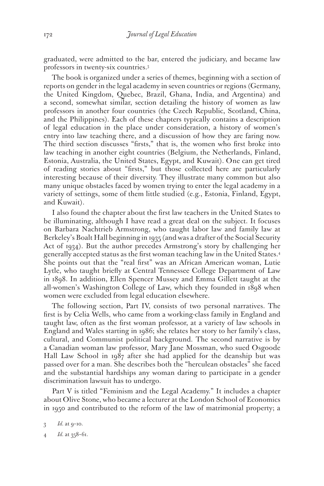graduated, were admitted to the bar, entered the judiciary, and became law professors in twenty-six countries.3

The book is organized under a series of themes, beginning with a section of reports on gender in the legal academy in seven countries or regions (Germany, the United Kingdom, Quebec, Brazil, Ghana, India, and Argentina) and a second, somewhat similar, section detailing the history of women as law professors in another four countries (the Czech Republic, Scotland, China, and the Philippines). Each of these chapters typically contains a description of legal education in the place under consideration, a history of women's entry into law teaching there, and a discussion of how they are faring now. The third section discusses "firsts," that is, the women who first broke into law teaching in another eight countries (Belgium, the Netherlands, Finland, Estonia, Australia, the United States, Egypt, and Kuwait). One can get tired of reading stories about "firsts," but those collected here are particularly interesting because of their diversity. They illustrate many common but also many unique obstacles faced by women trying to enter the legal academy in a variety of settings, some of them little studied (e.g., Estonia, Finland, Egypt, and Kuwait).

I also found the chapter about the first law teachers in the United States to be illuminating, although I have read a great deal on the subject. It focuses on Barbara Nachtrieb Armstrong, who taught labor law and family law at Berkeley's Boalt Hall beginning in 1935 (and was a drafter of the Social Security Act of 1934). But the author precedes Armstrong's story by challenging her generally accepted status as the first woman teaching law in the United States.4 She points out that the "real first" was an African American woman, Lutie Lytle, who taught briefly at Central Tennessee College Department of Law in 1898. In addition, Ellen Spencer Mussey and Emma Gillett taught at the all-women's Washington College of Law, which they founded in 1898 when women were excluded from legal education elsewhere.

The following section, Part IV, consists of two personal narratives. The first is by Celia Wells, who came from a working-class family in England and taught law, often as the first woman professor, at a variety of law schools in England and Wales starting in 1986; she relates her story to her family's class, cultural, and Communist political background. The second narrative is by a Canadian woman law professor, Mary Jane Mossman, who sued Osgoode Hall Law School in 1987 after she had applied for the deanship but was passed over for a man. She describes both the "herculean obstacles" she faced and the substantial hardships any woman daring to participate in a gender discrimination lawsuit has to undergo.

Part V is titled "Feminism and the Legal Academy." It includes a chapter about Olive Stone, who became a lecturer at the London School of Economics in 1950 and contributed to the reform of the law of matrimonial property; a

<sup>3</sup> *Id.* at 9–10.

<sup>4</sup> *Id.* at 358–61.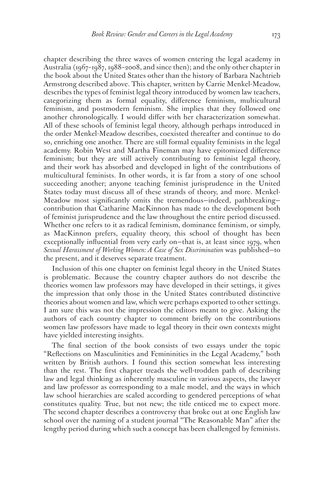chapter describing the three waves of women entering the legal academy in Australia (1967–1987, 1988–2008, and since then); and the only other chapter in the book about the United States other than the history of Barbara Nachtrieb Armstrong described above. This chapter, written by Carrie Menkel-Meadow, describes the types of feminist legal theory introduced by women law teachers, categorizing them as formal equality, difference feminism, multicultural feminism, and postmodern feminism. She implies that they followed one another chronologically. I would differ with her characterization somewhat. All of these schools of feminist legal theory, although perhaps introduced in the order Menkel-Meadow describes, coexisted thereafter and continue to do so, enriching one another. There are still formal equality feminists in the legal academy. Robin West and Martha Fineman may have epitomized difference feminism; but they are still actively contributing to feminist legal theory, and their work has absorbed and developed in light of the contributions of multicultural feminists. In other words, it is far from a story of one school succeeding another; anyone teaching feminist jurisprudence in the United States today must discuss all of these strands of theory, and more. Menkel-Meadow most significantly omits the tremendous—indeed, pathbreaking contribution that Catharine MacKinnon has made to the development both of feminist jurisprudence and the law throughout the entire period discussed. Whether one refers to it as radical feminism, dominance feminism, or simply, as MacKinnon prefers, equality theory, this school of thought has been exceptionally influential from very early on—that is, at least since 1979, when *Sexual Harassment of Working Women: A Case of Sex Discrimination* was published—to the present, and it deserves separate treatment.

Inclusion of this one chapter on feminist legal theory in the United States is problematic. Because the country chapter authors do not describe the theories women law professors may have developed in their settings, it gives the impression that only those in the United States contributed distinctive theories about women and law, which were perhaps exported to other settings. I am sure this was not the impression the editors meant to give. Asking the authors of each country chapter to comment briefly on the contributions women law professors have made to legal theory in their own contexts might have yielded interesting insights.

The final section of the book consists of two essays under the topic "Reflections on Masculinities and Femininities in the Legal Academy," both written by British authors. I found this section somewhat less interesting than the rest. The first chapter treads the well-trodden path of describing law and legal thinking as inherently masculine in various aspects, the lawyer and law professor as corresponding to a male model, and the ways in which law school hierarchies are scaled according to gendered perceptions of what constitutes quality. True, but not new; the title enticed me to expect more. The second chapter describes a controversy that broke out at one English law school over the naming of a student journal "The Reasonable Man" after the lengthy period during which such a concept has been challenged by feminists.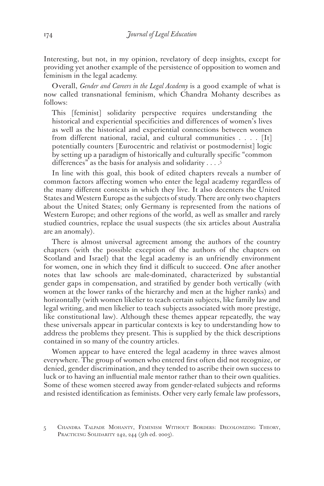Interesting, but not, in my opinion, revelatory of deep insights, except for providing yet another example of the persistence of opposition to women and feminism in the legal academy.

Overall, *Gender and Careers in the Legal Academy* is a good example of what is now called transnational feminism, which Chandra Mohanty describes as follows:

This [feminist] solidarity perspective requires understanding the historical and experiential specificities and differences of women's lives as well as the historical and experiential connections between women from different national, racial, and cultural communities  $\dots$  [It] potentially counters [Eurocentric and relativist or postmodernist] logic by setting up a paradigm of historically and culturally specific "common differences" as the basis for analysis and solidarity . . . . 5

In line with this goal, this book of edited chapters reveals a number of common factors affecting women who enter the legal academy regardless of the many different contexts in which they live. It also decenters the United States and Western Europe as the subjects of study. There are only two chapters about the United States; only Germany is represented from the nations of Western Europe; and other regions of the world, as well as smaller and rarely studied countries, replace the usual suspects (the six articles about Australia are an anomaly).

There is almost universal agreement among the authors of the country chapters (with the possible exception of the authors of the chapters on Scotland and Israel) that the legal academy is an unfriendly environment for women, one in which they find it difficult to succeed. One after another notes that law schools are male-dominated, characterized by substantial gender gaps in compensation, and stratified by gender both vertically (with women at the lower ranks of the hierarchy and men at the higher ranks) and horizontally (with women likelier to teach certain subjects, like family law and legal writing, and men likelier to teach subjects associated with more prestige, like constitutional law). Although these themes appear repeatedly, the way these universals appear in particular contexts is key to understanding how to address the problems they present. This is supplied by the thick descriptions contained in so many of the country articles.

Women appear to have entered the legal academy in three waves almost everywhere. The group of women who entered first often did not recognize, or denied, gender discrimination, and they tended to ascribe their own success to luck or to having an influential male mentor rather than to their own qualities. Some of these women steered away from gender-related subjects and reforms and resisted identification as feminists. Other very early female law professors,

<sup>5</sup> Chandra Talpade Mohanty, Feminism Without Borders: Decolonizing Theory, PRACTICING SOLIDARITY 242, 244 (5th ed. 2003).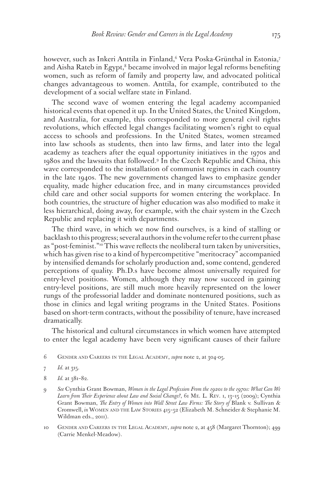however, such as Inkeri Anttila in Finland,6 Vera Poska-Grünthal in Estonia,7 and Aisha Rateb in Egypt,<sup>8</sup> became involved in major legal reforms benefiting women, such as reform of family and property law, and advocated political changes advantageous to women. Anttila, for example, contributed to the development of a social welfare state in Finland.

The second wave of women entering the legal academy accompanied historical events that opened it up. In the United States, the United Kingdom, and Australia, for example, this corresponded to more general civil rights revolutions, which effected legal changes facilitating women's right to equal access to schools and professions. In the United States, women streamed into law schools as students, then into law firms, and later into the legal academy as teachers after the equal opportunity initiatives in the 1970s and 1980s and the lawsuits that followed.9 In the Czech Republic and China, this wave corresponded to the installation of communist regimes in each country in the late 1940s. The new governments changed laws to emphasize gender equality, made higher education free, and in many circumstances provided child care and other social supports for women entering the workplace. In both countries, the structure of higher education was also modified to make it less hierarchical, doing away, for example, with the chair system in the Czech Republic and replacing it with departments.

The third wave, in which we now find ourselves, is a kind of stalling or backlash to this progress; several authors in the volume refer to the current phase as "post-feminist."<sup>10</sup> This wave reflects the neoliberal turn taken by universities, which has given rise to a kind of hypercompetitive "meritocracy" accompanied by intensified demands for scholarly production and, some contend, gendered perceptions of quality. Ph.D.s have become almost universally required for entry-level positions. Women, although they may now succeed in gaining entry-level positions, are still much more heavily represented on the lower rungs of the professorial ladder and dominate nontenured positions, such as those in clinics and legal writing programs in the United States. Positions based on short-term contracts, without the possibility of tenure, have increased dramatically.

The historical and cultural circumstances in which women have attempted to enter the legal academy have been very significant causes of their failure

- 6 Gender and Careers in the Legal Academy, *supra* note 2, at 304-05.
- 7 *Id.* at 315.
- 8 *Id.* at 381–82.
- 9 *See* Cynthia Grant Bowman, *Women in the Legal Profession From the 1920s to the 1970s: What Can We Learn from Their Experience about Law and Social Change?*, 61 Me. L. Rev. 1, 13–15 (2009); Cynthia Grant Bowman, *The Entry of Women into Wall Street Law Firms: The Story of Blank v. Sullivan &* Cromwell, *in* Women and the Law Stories 415–52 (Elizabeth M. Schneider & Stephanie M. Wildman eds., 2011).
- 10 Gender and Careers in the Legal Academy, *supra* note 2, at 458 (Margaret Thornton); 499 (Carrie Menkel-Meadow).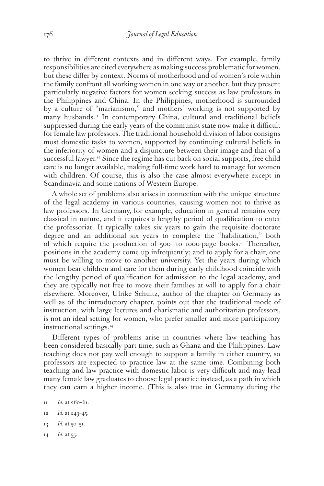to thrive in different contexts and in different ways. For example, family responsibilities are cited everywhere as making success problematic for women, but these differ by context. Norms of motherhood and of women's role within the family confront all working women in one way or another, but they present particularly negative factors for women seeking success as law professors in the Philippines and China. In the Philippines, motherhood is surrounded by a culture of "marianismo," and mothers' working is not supported by many husbands.<sup>11</sup> In contemporary China, cultural and traditional beliefs suppressed during the early years of the communist state now make it difficult for female law professors. The traditional household division of labor consigns most domestic tasks to women, supported by continuing cultural beliefs in the inferiority of women and a disjuncture between their image and that of a successful lawyer.<sup>12</sup> Since the regime has cut back on social supports, free child care is no longer available, making full-time work hard to manage for women with children. Of course, this is also the case almost everywhere except in Scandinavia and some nations of Western Europe.

A whole set of problems also arises in connection with the unique structure of the legal academy in various countries, causing women not to thrive as law professors. In Germany, for example, education in general remains very classical in nature, and it requires a lengthy period of qualification to enter the professoriat. It typically takes six years to gain the requisite doctorate degree and an additional six years to complete the "habilitation," both of which require the production of 500- to 1000-page books.13 Thereafter, positions in the academy come up infrequently; and to apply for a chair, one must be willing to move to another university. Yet the years during which women bear children and care for them during early childhood coincide with the lengthy period of qualification for admission to the legal academy, and they are typically not free to move their families at will to apply for a chair elsewhere. Moreover, Ulrike Schultz, author of the chapter on Germany as well as of the introductory chapter, points out that the traditional mode of instruction, with large lectures and charismatic and authoritarian professors, is not an ideal setting for women, who prefer smaller and more participatory instructional settings.<sup>14</sup>

Different types of problems arise in countries where law teaching has been considered basically part time, such as Ghana and the Philippines. Law teaching does not pay well enough to support a family in either country, so professors are expected to practice law at the same time. Combining both teaching and law practice with domestic labor is very difficult and may lead many female law graduates to choose legal practice instead, as a path in which they can earn a higher income. (This is also true in Germany during the

- 13 *Id.* at 50–51.
- 14 *Id.* at 55.

<sup>11</sup> *Id.* at 260–61.

<sup>12</sup> *Id.* at 243–45.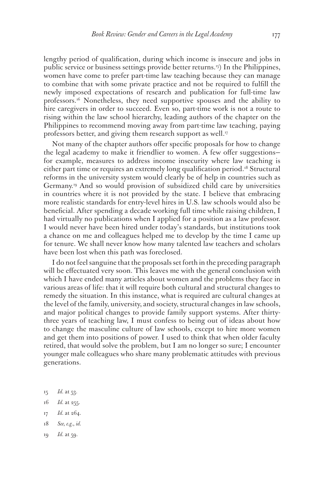lengthy period of qualification, during which income is insecure and jobs in public service or business settings provide better returns.15) In the Philippines, women have come to prefer part-time law teaching because they can manage to combine that with some private practice and not be required to fulfill the newly imposed expectations of research and publication for full-time law professors.<sup>16</sup> Nonetheless, they need supportive spouses and the ability to hire caregivers in order to succeed. Even so, part-time work is not a route to rising within the law school hierarchy, leading authors of the chapter on the Philippines to recommend moving away from part-time law teaching, paying professors better, and giving them research support as well.<sup>17</sup>

Not many of the chapter authors offer specific proposals for how to change the legal academy to make it friendlier to women. A few offer suggestions for example, measures to address income insecurity where law teaching is either part time or requires an extremely long qualification period.<sup>18</sup> Structural reforms in the university system would clearly be of help in countries such as Germany.19 And so would provision of subsidized child care by universities in countries where it is not provided by the state. I believe that embracing more realistic standards for entry-level hires in U.S. law schools would also be beneficial. After spending a decade working full time while raising children, I had virtually no publications when I applied for a position as a law professor. I would never have been hired under today's standards, but institutions took a chance on me and colleagues helped me to develop by the time I came up for tenure. We shall never know how many talented law teachers and scholars have been lost when this path was foreclosed.

I do not feel sanguine that the proposals set forth in the preceding paragraph will be effectuated very soon. This leaves me with the general conclusion with which I have ended many articles about women and the problems they face in various areas of life: that it will require both cultural and structural changes to remedy the situation. In this instance, what is required are cultural changes at the level of the family, university, and society, structural changes in law schools, and major political changes to provide family support systems. After thirtythree years of teaching law, I must confess to being out of ideas about how to change the masculine culture of law schools, except to hire more women and get them into positions of power. I used to think that when older faculty retired, that would solve the problem, but I am no longer so sure; I encounter younger male colleagues who share many problematic attitudes with previous generations.

- 15 *Id.* at 53.
- 16 *Id.* at 255.
- 17 *Id.* at 264.
- 18 *See, e.g.*, *id.*
- 19 *Id.* at 59.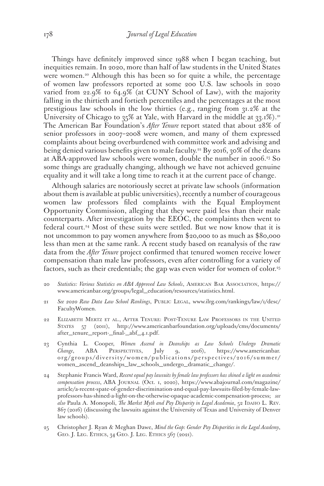Things have definitely improved since 1988 when I began teaching, but inequities remain. In 2020, more than half of law students in the United States were women.<sup>20</sup> Although this has been so for quite a while, the percentage of women law professors reported at some 200 U.S. law schools in 2020 varied from 22.9% to 64.9% (at CUNY School of Law), with the majority falling in the thirtieth and fortieth percentiles and the percentages at the most prestigious law schools in the low thirties (e.g., ranging from 31.2% at the University of Chicago to  $35\%$  at Yale, with Harvard in the middle at  $33.1\%$ .<sup>21</sup> The American Bar Foundation's *After Tenure* report stated that about 28% of senior professors in 2007–2008 were women, and many of them expressed complaints about being overburdened with committee work and advising and being denied various benefits given to male faculty.<sup>22</sup> By 2016, 30% of the deans at ABA-approved law schools were women, double the number in 2006.23 So some things are gradually changing, although we have not achieved genuine equality and it will take a long time to reach it at the current pace of change.

Although salaries are notoriously secret at private law schools (information about them is available at public universities), recently a number of courageous women law professors filed complaints with the Equal Employment Opportunity Commission, alleging that they were paid less than their male counterparts. After investigation by the EEOC, the complaints then went to federal court.<sup>24</sup> Most of these suits were settled. But we now know that it is not uncommon to pay women anywhere from \$20,000 to as much as \$80,000 less than men at the same rank. A recent study based on reanalysis of the raw data from the *After Tenure* project confirmed that tenured women receive lower compensation than male law professors, even after controlling for a variety of factors, such as their credentials; the gap was even wider for women of color.<sup>25</sup>

- 20 *Statistics: Various Statistics on ABA Approved Law Schools*, American Bar Association, https:// www.americanbar.org/groups/legal\_education/resources/statistics.html.
- 21 *See 2020 Raw Data Law School Rankings*, Public Legal, www.ilrg.com/rankings/law/1/desc/ FacultyWomen.
- 22 Elizabeth Mertz et al., After Tenure: Post-Tenure Law Professors in the United States 57 (2011), http://www.americanbarfoundation.org/uploads/cms/documents/ after\_tenure\_report-\_final-\_abf\_4.1.pdf.
- 23 Cynthia L. Cooper, *Women Ascend in Deanships as Law Schools Undergo Dramatic Change*, ABA Perspectives, July 9, 2016), https://www.americanbar. org/groups/diversity/women/publications/perspectives/2016/summer/ women\_ascend\_deanships\_law\_schools\_undergo\_dramatic\_change/.
- 24 Stephanie Francis Ward, *Recent equal pay lawsuits by female law professors has shined a light on academic compensation process*, ABA Journal (Oct. 1, 2020), https://www.abajournal.com/magazine/ article/a-recent-spate-of-gender-discrimination-and-equal-pay-lawsuits-filed-by-female-lawprofessors-has-shined-a-light-on-the-otherwise-opaque-academic-compensation-process; *see*  also Paula A. Monopoli, *The Market Myth and Pay Disparity in Legal Academia*, 52 IDAHO L. REV. 867 (2016) (discussing the lawsuits against the University of Texas and University of Denver law schools).
- 25 Christopher J. Ryan & Meghan Dawe, *Mind the Gap: Gender Pay Disparities in the Legal Academy*, GEO. J. LEG. ETHICS, 34 GEO. J. LEG. ETHICS 567 (2021).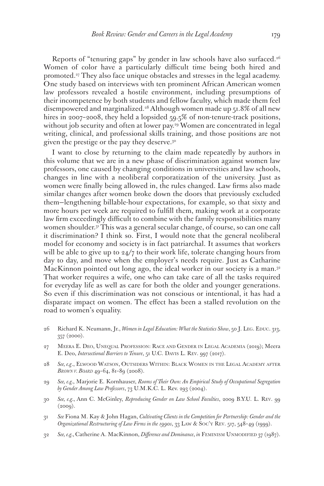Reports of "tenuring gaps" by gender in law schools have also surfaced.<sup>26</sup> Women of color have a particularly difficult time being both hired and promoted.<sup>27</sup> They also face unique obstacles and stresses in the legal academy. One study based on interviews with ten prominent African American women law professors revealed a hostile environment, including presumptions of their incompetence by both students and fellow faculty, which made them feel disempowered and marginalized.<sup>28</sup> Although women made up 51.8% of all new hires in 2007-2008, they held a lopsided 59.5% of non-tenure-track positions, without job security and often at lower pay.<sup>29</sup> Women are concentrated in legal writing, clinical, and professional skills training, and those positions are not given the prestige or the pay they deserve.30

I want to close by returning to the claim made repeatedly by authors in this volume that we are in a new phase of discrimination against women law professors, one caused by changing conditions in universities and law schools, changes in line with a neoliberal corporatization of the university. Just as women were finally being allowed in, the rules changed. Law firms also made similar changes after women broke down the doors that previously excluded them—lengthening billable-hour expectations, for example, so that sixty and more hours per week are required to fulfill them, making work at a corporate law firm exceedingly difficult to combine with the family responsibilities many women shoulder.31 This was a general secular change, of course, so can one call it discrimination? I think so. First, I would note that the general neoliberal model for economy and society is in fact patriarchal. It assumes that workers will be able to give up to 24/7 to their work life, tolerate changing hours from day to day, and move when the employer's needs require. Just as Catharine MacKinnon pointed out long ago, the ideal worker in our society is a man.<sup>32</sup> That worker requires a wife, one who can take care of all the tasks required for everyday life as well as care for both the older and younger generations. So even if this discrimination was not conscious or intentional, it has had a disparate impact on women. The effect has been a stalled revolution on the road to women's equality.

- 26 Richard K. Neumann, Jr., *Women in Legal Education: What the Statistics Show*, 50 J. Leg. EDUC. 313, 357 (2000).
- 27 Meera E. Deo, Unequal Profession: Race and Gender in Legal Academia (2019); Meera E. Deo, *Intersectional Barriers to Tenure*, 51 U.C. Davis L. Rev. 997 (2017).
- 28 *See, e.g*., Elwood Watson, Outsiders Within: Black Women in the Legal Academy after *Brown v. Board* 49–64, 81–89 (2008).
- 29 *See, e.g.*, Marjorie E. Kornhauser, *Rooms of Their Own: An Empirical Study of Occupational Segregation by Gender Among Law Professors*, 73 U.M.K.C. L. Rev. 293 (2004).
- 30 *See, e.g.*, Ann C. McGinley, *Reproducing Gender on Law School Faculties*, 2009 B.Y.U. L. Rev. 99  $(2009).$
- 31 *See* Fiona M. Kay & John Hagan, *Cultivating Clients in the Competition for Partnership: Gender and the Organizational Restructuring of Law Firms in the 1990s*, 33 Law & Soc'y Rev. 517, 548–49 (1999).
- 32 *See, e.g.*, Catherine A. MacKinnon, *Difference and Dominance*, *in* Feminism Unmodified 37 (1987).